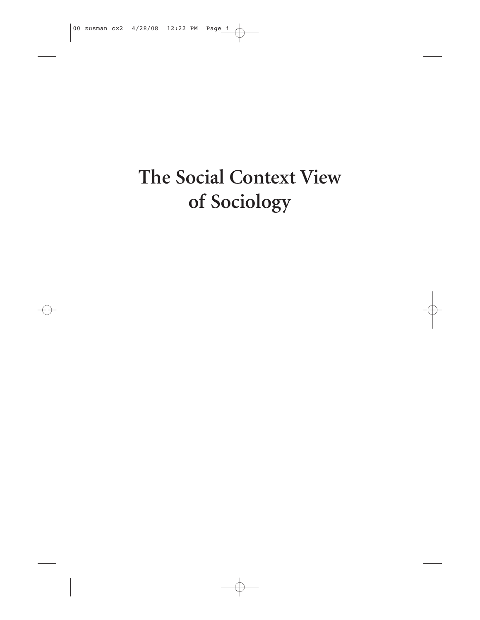# The Social Context View of Sociology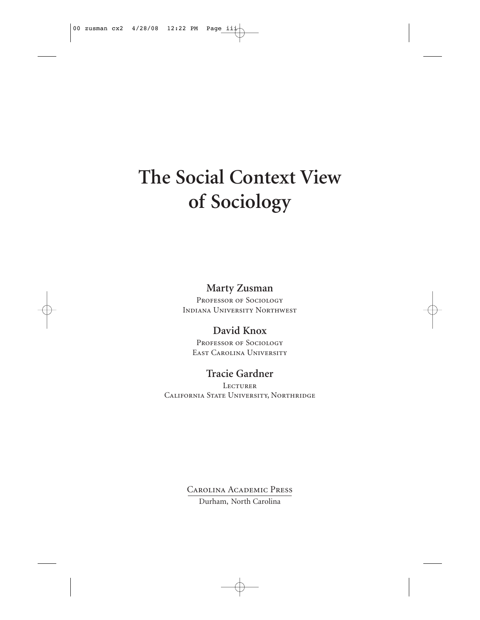# **The Social Context View of Sociology**

## **Marty Zusman**

PROFESSOR OF SOCIOLOGY Indiana University Northwest

## **David Knox**

Professor of Sociology East Carolina University

## **Tracie Gardner**

**LECTURER** California State University, Northridge

> Carolina Academic Press Durham, North Carolina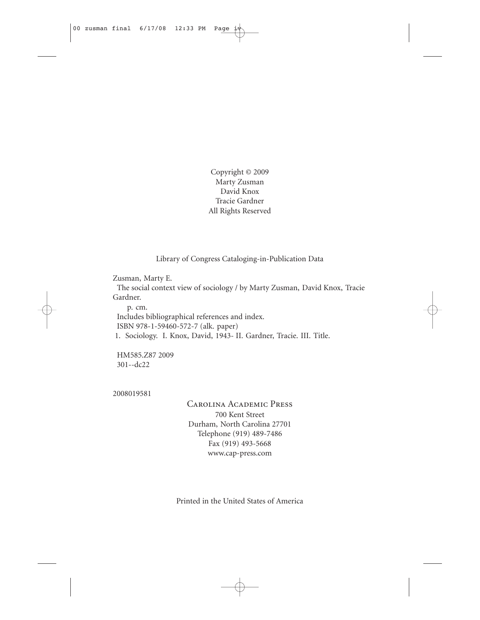Copyright © 2009 Marty Zusman David Knox Tracie Gardner All Rights Reserved

Library of Congress Cataloging-in-Publication Data

Zusman, Marty E.

The social context view of sociology / by Marty Zusman, David Knox, Tracie Gardner.

p. cm. Includes bibliographical references and index. ISBN 978-1-59460-572-7 (alk. paper) 1. Sociology. I. Knox, David, 1943- II. Gardner, Tracie. III. Title.

HM585.Z87 2009 301--dc22

2008019581

Carolina Academic Press 700 Kent Street Durham, North Carolina 27701 Telephone (919) 489-7486 Fax (919) 493-5668 www.cap-press.com

Printed in the United States of America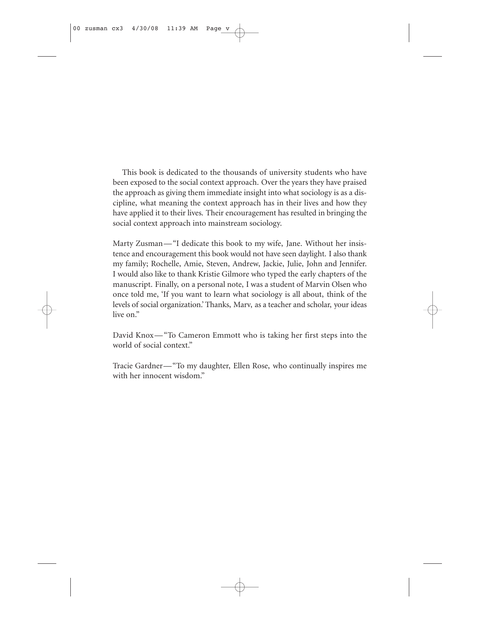This book is dedicated to the thousands of university students who have been exposed to the social context approach. Over the years they have praised the approach as giving them immediate insight into what sociology is as a discipline, what meaning the context approach has in their lives and how they have applied it to their lives. Their encouragement has resulted in bringing the social context approach into mainstream sociology.

Marty Zusman—"I dedicate this book to my wife, Jane. Without her insistence and encouragement this book would not have seen daylight. I also thank my family; Rochelle, Amie, Steven, Andrew, Jackie, Julie, John and Jennifer. I would also like to thank Kristie Gilmore who typed the early chapters of the manuscript. Finally, on a personal note, I was a student of Marvin Olsen who once told me, 'If you want to learn what sociology is all about, think of the levels of social organization.' Thanks, Marv, as a teacher and scholar, your ideas live on."

David Knox—"To Cameron Emmott who is taking her first steps into the world of social context."

Tracie Gardner—"To my daughter, Ellen Rose, who continually inspires me with her innocent wisdom."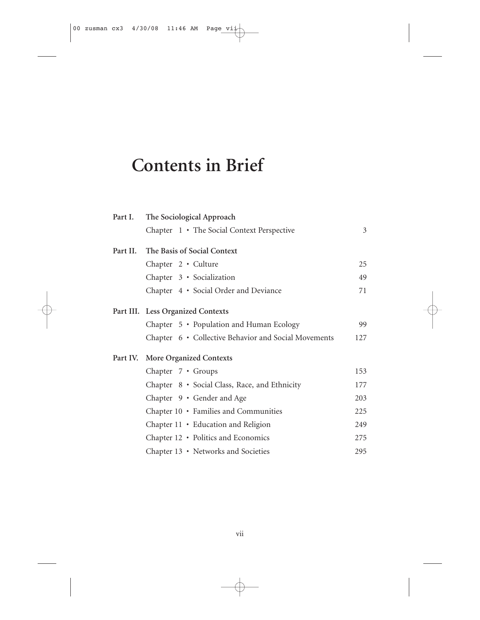## **Contents in Brief**

| The Sociological Approach                            |                |
|------------------------------------------------------|----------------|
| Chapter 1 • The Social Context Perspective           | $\mathfrak{Z}$ |
| The Basis of Social Context<br>Part II.              |                |
| Chapter 2 · Culture                                  | 25             |
| Chapter 3 · Socialization                            | 49             |
| Chapter 4 · Social Order and Deviance                | 71             |
| Part III. Less Organized Contexts                    |                |
| Chapter 5 • Population and Human Ecology             | 99             |
| Chapter 6 • Collective Behavior and Social Movements | 127            |
| <b>More Organized Contexts</b><br>Part IV.           |                |
| Chapter 7 • Groups                                   | 153            |
| Chapter 8 • Social Class, Race, and Ethnicity        | 177            |
| Chapter 9 · Gender and Age                           | 203            |
| Chapter 10 • Families and Communities                | 225            |
| Chapter 11 • Education and Religion                  | 249            |
| Chapter 12 • Politics and Economics                  | 275            |
| Chapter 13 • Networks and Societies                  | 295            |
|                                                      |                |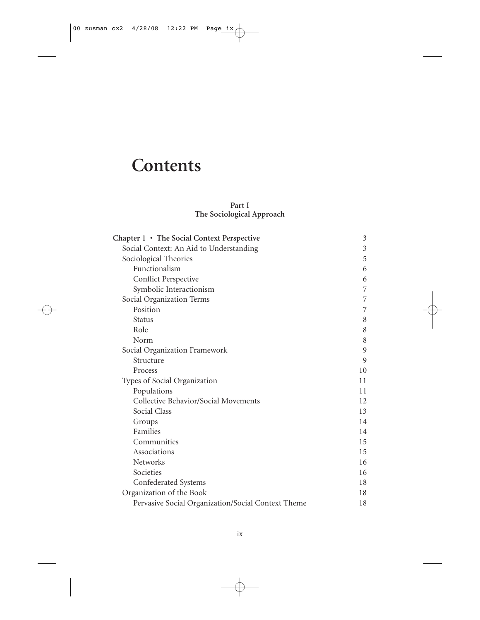## **Contents**

#### **Part I The Sociological Approach**

| Chapter 1 • The Social Context Perspective         | 3              |
|----------------------------------------------------|----------------|
| Social Context: An Aid to Understanding            | $\mathfrak{Z}$ |
| Sociological Theories                              | 5              |
| Functionalism                                      | 6              |
| Conflict Perspective                               | 6              |
| Symbolic Interactionism                            | 7              |
| Social Organization Terms                          | 7              |
| Position                                           | 7              |
| <b>Status</b>                                      | 8              |
| Role                                               | 8              |
| Norm                                               | 8              |
| Social Organization Framework                      | 9              |
| Structure                                          | 9              |
| Process                                            | 10             |
| Types of Social Organization                       | 11             |
| Populations                                        | 11             |
| Collective Behavior/Social Movements               | 12             |
| Social Class                                       | 13             |
| Groups                                             | 14             |
| Families                                           | 14             |
| Communities                                        | 15             |
| Associations                                       | 15             |
| <b>Networks</b>                                    | 16             |
| Societies                                          | 16             |
| Confederated Systems                               | 18             |
| Organization of the Book                           | 18             |
| Pervasive Social Organization/Social Context Theme | 18             |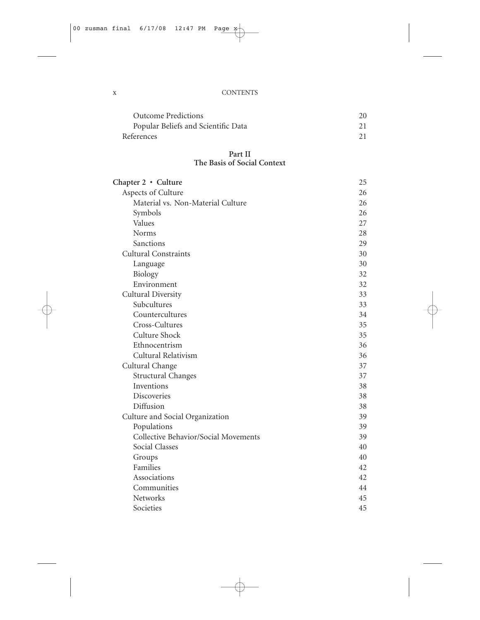#### x CONTENTS

| <b>Outcome Predictions</b>          | 20 |
|-------------------------------------|----|
| Popular Beliefs and Scientific Data | 21 |
| References                          |    |

#### **Part II The Basis of Social Context**

| Chapter 2 · Culture                  | 25 |
|--------------------------------------|----|
| Aspects of Culture                   | 26 |
| Material vs. Non-Material Culture    | 26 |
| Symbols                              | 26 |
| Values                               | 27 |
| Norms                                | 28 |
| Sanctions                            | 29 |
| <b>Cultural Constraints</b>          | 30 |
| Language                             | 30 |
| Biology                              | 32 |
| Environment                          | 32 |
| Cultural Diversity                   | 33 |
| Subcultures                          | 33 |
| Countercultures                      | 34 |
| Cross-Cultures                       | 35 |
| Culture Shock                        | 35 |
| Ethnocentrism                        | 36 |
| Cultural Relativism                  | 36 |
| Cultural Change                      | 37 |
| <b>Structural Changes</b>            | 37 |
| Inventions                           | 38 |
| <b>Discoveries</b>                   | 38 |
| Diffusion                            | 38 |
| Culture and Social Organization      | 39 |
| Populations                          | 39 |
| Collective Behavior/Social Movements | 39 |
| Social Classes                       | 40 |
| Groups                               | 40 |
| Families                             | 42 |
| Associations                         | 42 |
| Communities                          | 44 |
| Networks                             | 45 |
| Societies                            | 45 |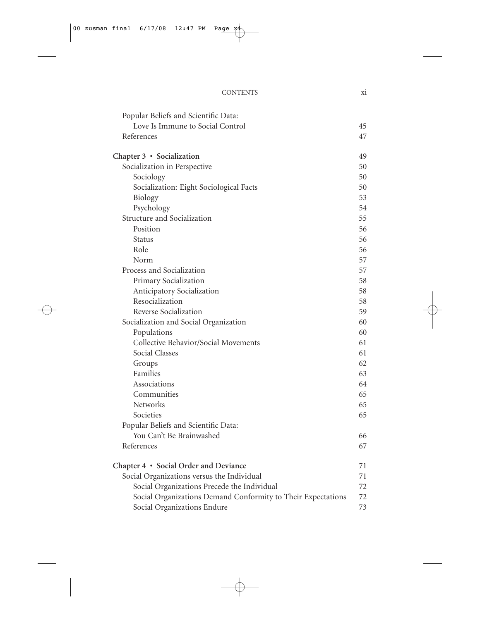| Popular Beliefs and Scientific Data:                         |    |
|--------------------------------------------------------------|----|
| Love Is Immune to Social Control                             | 45 |
| References                                                   | 47 |
| Chapter 3 · Socialization                                    | 49 |
| Socialization in Perspective                                 | 50 |
| Sociology                                                    | 50 |
| Socialization: Eight Sociological Facts                      | 50 |
| Biology                                                      | 53 |
| Psychology                                                   | 54 |
| Structure and Socialization                                  | 55 |
| Position                                                     | 56 |
| <b>Status</b>                                                | 56 |
| Role                                                         | 56 |
| Norm                                                         | 57 |
| Process and Socialization                                    | 57 |
| Primary Socialization                                        | 58 |
| Anticipatory Socialization                                   | 58 |
| Resocialization                                              | 58 |
| Reverse Socialization                                        | 59 |
| Socialization and Social Organization                        | 60 |
| Populations                                                  | 60 |
| Collective Behavior/Social Movements                         | 61 |
| <b>Social Classes</b>                                        | 61 |
| Groups                                                       | 62 |
| Families                                                     | 63 |
| Associations                                                 | 64 |
| Communities                                                  | 65 |
| <b>Networks</b>                                              | 65 |
| Societies                                                    | 65 |
| Popular Beliefs and Scientific Data:                         |    |
| You Can't Be Brainwashed                                     | 66 |
| References                                                   | 67 |
| Chapter 4 • Social Order and Deviance                        | 71 |
| Social Organizations versus the Individual                   | 71 |
| Social Organizations Precede the Individual                  | 72 |
| Social Organizations Demand Conformity to Their Expectations | 72 |
| Social Organizations Endure                                  | 73 |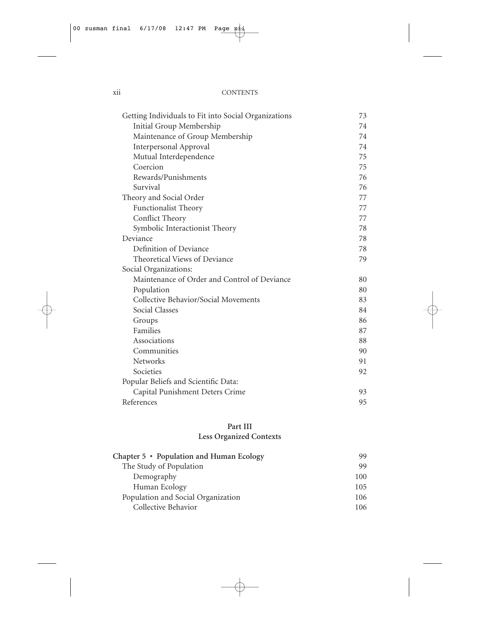#### xii CONTENTS

| Getting Individuals to Fit into Social Organizations | 73 |
|------------------------------------------------------|----|
| Initial Group Membership                             | 74 |
| Maintenance of Group Membership                      | 74 |
| <b>Interpersonal Approval</b>                        | 74 |
| Mutual Interdependence                               | 75 |
| Coercion                                             | 75 |
| Rewards/Punishments                                  | 76 |
| Survival                                             | 76 |
| Theory and Social Order                              | 77 |
| <b>Functionalist Theory</b>                          | 77 |
| Conflict Theory                                      | 77 |
| Symbolic Interactionist Theory                       | 78 |
| Deviance                                             | 78 |
| Definition of Deviance                               | 78 |
| Theoretical Views of Deviance                        | 79 |
| Social Organizations:                                |    |
| Maintenance of Order and Control of Deviance         | 80 |
| Population                                           | 80 |
| Collective Behavior/Social Movements                 | 83 |
| Social Classes                                       | 84 |
| Groups                                               | 86 |
| Families                                             | 87 |
| Associations                                         | 88 |
| Communities                                          | 90 |
| <b>Networks</b>                                      | 91 |
| Societies                                            | 92 |
| Popular Beliefs and Scientific Data:                 |    |
| Capital Punishment Deters Crime                      | 93 |
| References                                           | 95 |

#### **Part III Less Organized Contexts**

| Chapter 5 • Population and Human Ecology | 99  |
|------------------------------------------|-----|
| The Study of Population                  | 99  |
| Demography                               | 100 |
| Human Ecology                            | 105 |
| Population and Social Organization       | 106 |
| Collective Behavior                      | 106 |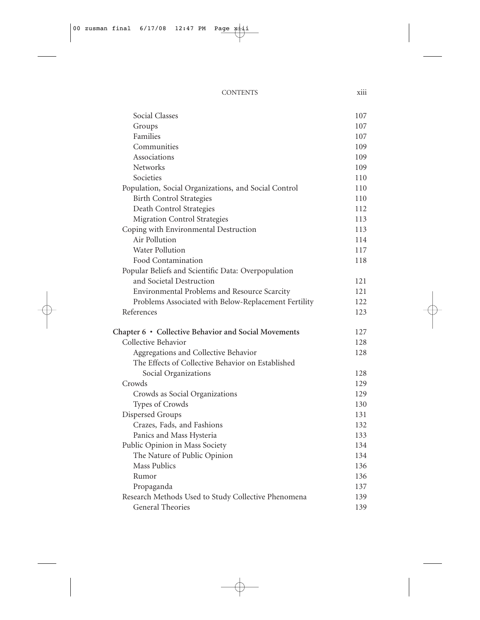| <b>CONTENTS</b> | .<br>X111 |
|-----------------|-----------|
|                 |           |

| Social Classes                                       | 107 |
|------------------------------------------------------|-----|
| Groups                                               | 107 |
| Families                                             | 107 |
| Communities                                          | 109 |
| Associations                                         | 109 |
| Networks                                             | 109 |
| Societies                                            | 110 |
| Population, Social Organizations, and Social Control | 110 |
| <b>Birth Control Strategies</b>                      | 110 |
| Death Control Strategies                             | 112 |
| <b>Migration Control Strategies</b>                  | 113 |
| Coping with Environmental Destruction                | 113 |
| Air Pollution                                        | 114 |
| <b>Water Pollution</b>                               | 117 |
| Food Contamination                                   | 118 |
| Popular Beliefs and Scientific Data: Overpopulation  |     |
| and Societal Destruction                             | 121 |
| Environmental Problems and Resource Scarcity         | 121 |
| Problems Associated with Below-Replacement Fertility | 122 |
| References                                           | 123 |
| Chapter 6 • Collective Behavior and Social Movements | 127 |
| Collective Behavior                                  | 128 |
| Aggregations and Collective Behavior                 | 128 |
| The Effects of Collective Behavior on Established    |     |
| Social Organizations                                 | 128 |
| Crowds                                               | 129 |
| Crowds as Social Organizations                       | 129 |
| Types of Crowds                                      | 130 |
| Dispersed Groups                                     | 131 |
| Crazes, Fads, and Fashions                           | 132 |
| Panics and Mass Hysteria                             | 133 |
| Public Opinion in Mass Society                       | 134 |
| The Nature of Public Opinion                         | 134 |
| Mass Publics                                         | 136 |
| Rumor                                                | 136 |
| Propaganda                                           | 137 |
| Research Methods Used to Study Collective Phenomena  | 139 |
| <b>General Theories</b>                              | 139 |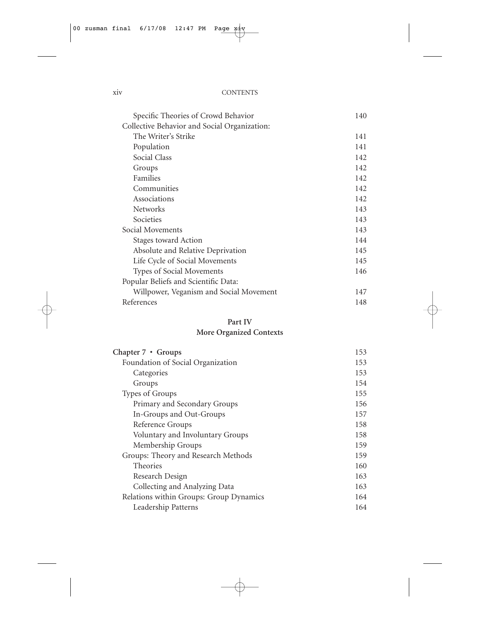#### xiv CONTENTS

| Specific Theories of Crowd Behavior          | 140 |
|----------------------------------------------|-----|
| Collective Behavior and Social Organization: |     |
| The Writer's Strike                          | 141 |
| Population                                   | 141 |
| Social Class                                 | 142 |
| Groups                                       | 142 |
| Families                                     | 142 |
| Communities                                  | 142 |
| Associations                                 | 142 |
| <b>Networks</b>                              | 143 |
| Societies                                    | 143 |
| Social Movements                             | 143 |
| Stages toward Action                         | 144 |
| Absolute and Relative Deprivation            | 145 |
| Life Cycle of Social Movements               | 145 |
| Types of Social Movements                    | 146 |
| Popular Beliefs and Scientific Data:         |     |
| Willpower, Veganism and Social Movement      | 147 |
| References                                   | 148 |

### **Part IV**

### **More Organized Contexts**

| Chapter $7 \cdot$ Groups                | 153 |
|-----------------------------------------|-----|
| Foundation of Social Organization       | 153 |
| Categories                              | 153 |
| Groups                                  | 154 |
| Types of Groups                         | 155 |
| Primary and Secondary Groups            | 156 |
| In-Groups and Out-Groups                | 157 |
| Reference Groups                        | 158 |
| Voluntary and Involuntary Groups        | 158 |
| Membership Groups                       | 159 |
| Groups: Theory and Research Methods     | 159 |
| <b>Theories</b>                         | 160 |
| Research Design                         | 163 |
| Collecting and Analyzing Data           | 163 |
| Relations within Groups: Group Dynamics | 164 |
| Leadership Patterns                     | 164 |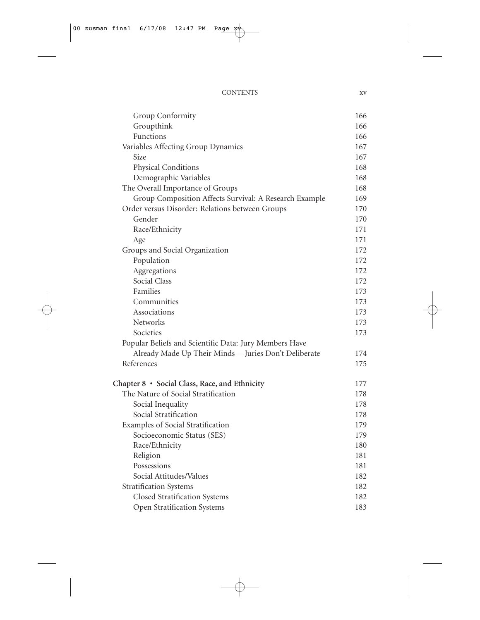| Group Conformity                                       | 166 |
|--------------------------------------------------------|-----|
| Groupthink                                             | 166 |
| Functions                                              | 166 |
| Variables Affecting Group Dynamics                     | 167 |
| Size                                                   | 167 |
| Physical Conditions                                    | 168 |
| Demographic Variables                                  | 168 |
| The Overall Importance of Groups                       | 168 |
| Group Composition Affects Survival: A Research Example | 169 |
| Order versus Disorder: Relations between Groups        | 170 |
| Gender                                                 | 170 |
| Race/Ethnicity                                         | 171 |
| Age                                                    | 171 |
| Groups and Social Organization                         | 172 |
| Population                                             | 172 |
| Aggregations                                           | 172 |
| Social Class                                           | 172 |
| Families                                               | 173 |
| Communities                                            | 173 |
| Associations                                           | 173 |
| Networks                                               | 173 |
| Societies                                              | 173 |
| Popular Beliefs and Scientific Data: Jury Members Have |     |
| Already Made Up Their Minds-Juries Don't Deliberate    | 174 |
| References                                             | 175 |
| Chapter 8 · Social Class, Race, and Ethnicity          | 177 |
| The Nature of Social Stratification                    | 178 |
| Social Inequality                                      | 178 |
| Social Stratification                                  | 178 |
| Examples of Social Stratification                      | 179 |
| Socioeconomic Status (SES)                             | 179 |
| Race/Ethnicity                                         | 180 |
| Religion                                               | 181 |
| Possessions                                            | 181 |
| Social Attitudes/Values                                | 182 |
| <b>Stratification Systems</b>                          | 182 |
| Closed Stratification Systems                          | 182 |
| Open Stratification Systems                            | 183 |
|                                                        |     |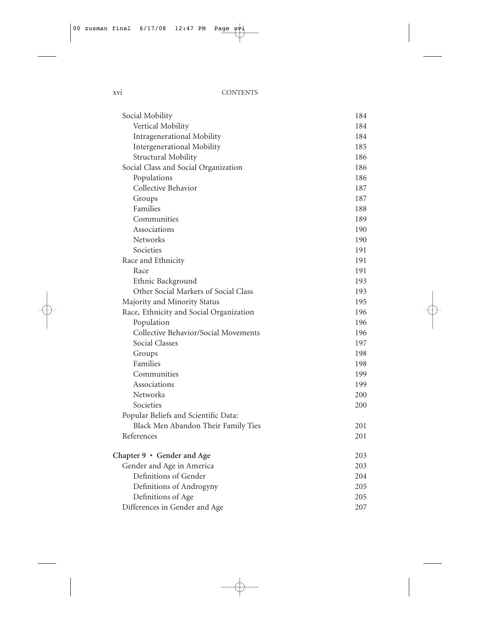| Social Mobility                         | 184 |
|-----------------------------------------|-----|
| Vertical Mobility                       | 184 |
| Intragenerational Mobility              | 184 |
| Intergenerational Mobility              | 185 |
| Structural Mobility                     | 186 |
| Social Class and Social Organization    | 186 |
| Populations                             | 186 |
| Collective Behavior                     | 187 |
| Groups                                  | 187 |
| Families                                | 188 |
| Communities                             | 189 |
| Associations                            | 190 |
| <b>Networks</b>                         | 190 |
| Societies                               | 191 |
| Race and Ethnicity                      | 191 |
| Race                                    | 191 |
| Ethnic Background                       | 193 |
| Other Social Markers of Social Class    | 193 |
| Majority and Minority Status            | 195 |
| Race, Ethnicity and Social Organization | 196 |
| Population                              | 196 |
| Collective Behavior/Social Movements    | 196 |
| Social Classes                          | 197 |
| Groups                                  | 198 |
| Families                                | 198 |
| Communities                             | 199 |
| Associations                            | 199 |
| <b>Networks</b>                         | 200 |
| Societies                               | 200 |
| Popular Beliefs and Scientific Data:    |     |
| Black Men Abandon Their Family Ties     | 201 |
| References                              | 201 |
| Chapter 9 • Gender and Age              | 203 |
| Gender and Age in America               | 203 |
| Definitions of Gender                   | 204 |
| Definitions of Androgyny                | 205 |
| Definitions of Age                      | 205 |
| Differences in Gender and Age           | 207 |
|                                         |     |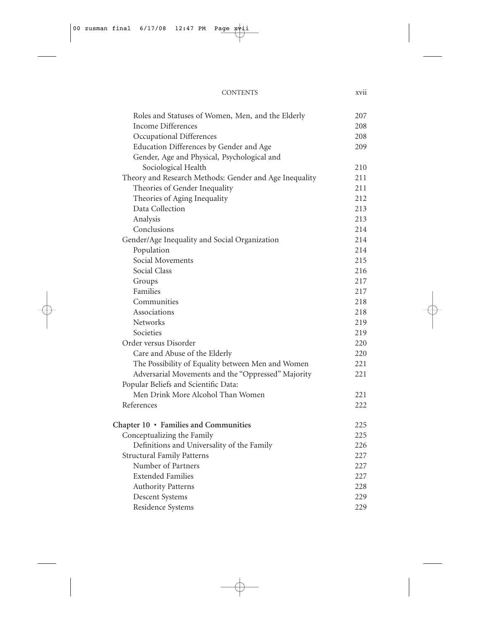| Roles and Statuses of Women, Men, and the Elderly      | 207 |
|--------------------------------------------------------|-----|
| Income Differences                                     | 208 |
| Occupational Differences                               | 208 |
| Education Differences by Gender and Age                | 209 |
| Gender, Age and Physical, Psychological and            |     |
| Sociological Health                                    | 210 |
| Theory and Research Methods: Gender and Age Inequality | 211 |
| Theories of Gender Inequality                          | 211 |
| Theories of Aging Inequality                           | 212 |
| Data Collection                                        | 213 |
| Analysis                                               | 213 |
| Conclusions                                            | 214 |
| Gender/Age Inequality and Social Organization          | 214 |
| Population                                             | 214 |
| Social Movements                                       | 215 |
| Social Class                                           | 216 |
| Groups                                                 | 217 |
| Families                                               | 217 |
| Communities                                            | 218 |
| Associations                                           | 218 |
| Networks                                               | 219 |
| Societies                                              | 219 |
| Order versus Disorder                                  | 220 |
| Care and Abuse of the Elderly                          | 220 |
| The Possibility of Equality between Men and Women      | 221 |
| Adversarial Movements and the "Oppressed" Majority     | 221 |
| Popular Beliefs and Scientific Data:                   |     |
| Men Drink More Alcohol Than Women                      | 221 |
| References                                             | 222 |
| Chapter 10 · Families and Communities                  | 225 |
| Conceptualizing the Family                             | 225 |
| Definitions and Universality of the Family             | 226 |
| <b>Structural Family Patterns</b>                      | 227 |
| Number of Partners                                     | 227 |
| <b>Extended Families</b>                               | 227 |
| <b>Authority Patterns</b>                              | 228 |
| <b>Descent Systems</b>                                 | 229 |
| Residence Systems                                      | 229 |
|                                                        |     |

CONTENTS xvii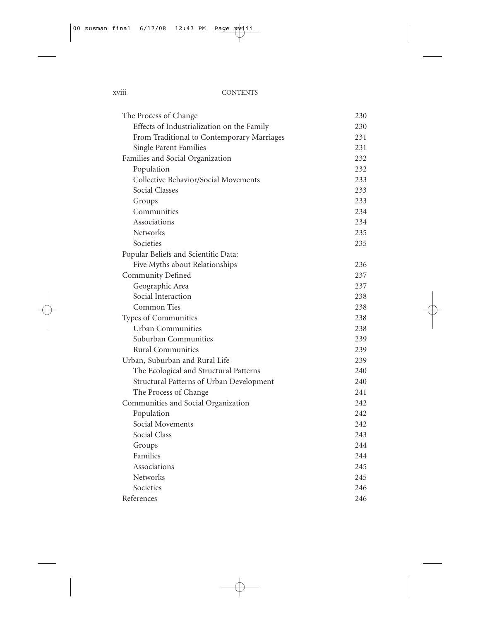#### xviii CONTENTS

| The Process of Change                      | 230 |
|--------------------------------------------|-----|
| Effects of Industrialization on the Family | 230 |
| From Traditional to Contemporary Marriages | 231 |
| Single Parent Families                     | 231 |
| Families and Social Organization           | 232 |
| Population                                 | 232 |
| Collective Behavior/Social Movements       | 233 |
| Social Classes                             | 233 |
| Groups                                     | 233 |
| Communities                                | 234 |
| Associations                               | 234 |
| <b>Networks</b>                            | 235 |
| Societies                                  | 235 |
| Popular Beliefs and Scientific Data:       |     |
| Five Myths about Relationships             | 236 |
| Community Defined                          | 237 |
| Geographic Area                            | 237 |
| Social Interaction                         | 238 |
| Common Ties                                | 238 |
| Types of Communities                       | 238 |
| <b>Urban Communities</b>                   | 238 |
| Suburban Communities                       | 239 |
| <b>Rural Communities</b>                   | 239 |
| Urban, Suburban and Rural Life             | 239 |
| The Ecological and Structural Patterns     | 240 |
| Structural Patterns of Urban Development   | 240 |
| The Process of Change                      | 241 |
| Communities and Social Organization        | 242 |
| Population                                 | 242 |
| Social Movements                           | 242 |
| Social Class                               | 243 |
| Groups                                     | 244 |
| Families                                   | 244 |
| Associations                               | 245 |
| Networks                                   | 245 |
| Societies                                  | 246 |
| References                                 | 246 |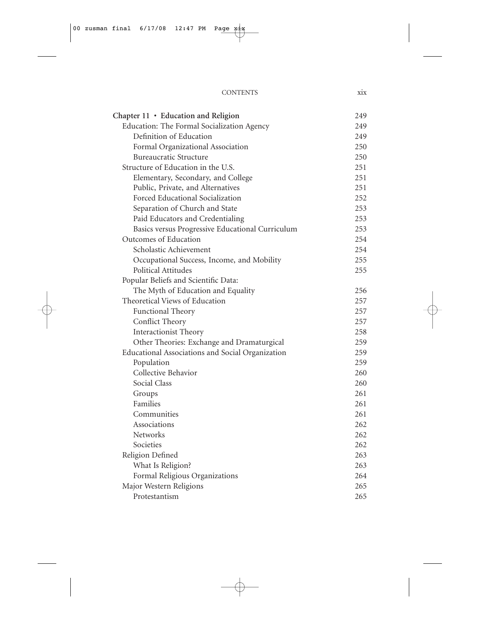| <b>CONTENTS</b> |  |
|-----------------|--|
|                 |  |

| Chapter 11 · Education and Religion              | 249 |
|--------------------------------------------------|-----|
| Education: The Formal Socialization Agency       | 249 |
| Definition of Education                          | 249 |
| Formal Organizational Association                | 250 |
| <b>Bureaucratic Structure</b>                    | 250 |
| Structure of Education in the U.S.               | 251 |
| Elementary, Secondary, and College               | 251 |
| Public, Private, and Alternatives                | 251 |
| Forced Educational Socialization                 | 252 |
| Separation of Church and State                   | 253 |
| Paid Educators and Credentialing                 | 253 |
| Basics versus Progressive Educational Curriculum | 253 |
| Outcomes of Education                            | 254 |
| Scholastic Achievement                           | 254 |
| Occupational Success, Income, and Mobility       | 255 |
| Political Attitudes                              | 255 |
| Popular Beliefs and Scientific Data:             |     |
| The Myth of Education and Equality               | 256 |
| Theoretical Views of Education                   | 257 |
| Functional Theory                                | 257 |
| Conflict Theory                                  | 257 |
| Interactionist Theory                            | 258 |
| Other Theories: Exchange and Dramaturgical       | 259 |
| Educational Associations and Social Organization | 259 |
| Population                                       | 259 |
| Collective Behavior                              | 260 |
| Social Class                                     | 260 |
| Groups                                           | 261 |
| Families                                         | 261 |
| Communities                                      | 261 |
| Associations                                     | 262 |
| <b>Networks</b>                                  | 262 |
| Societies                                        | 262 |
| Religion Defined                                 | 263 |
| What Is Religion?                                | 263 |
| Formal Religious Organizations                   | 264 |
| Major Western Religions                          | 265 |
| Protestantism                                    | 265 |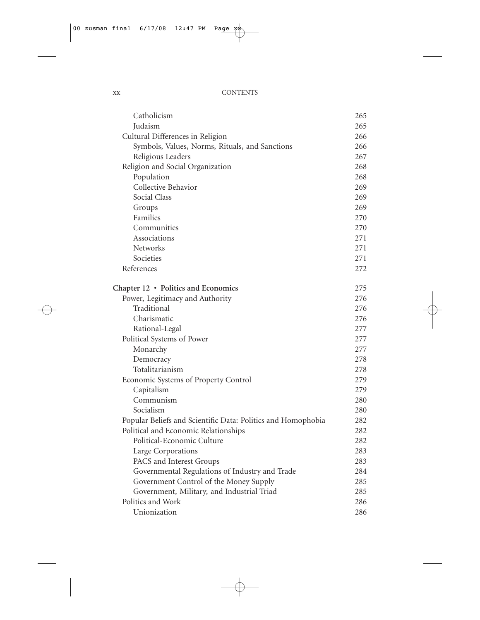| Catholicism                                                  | 265 |
|--------------------------------------------------------------|-----|
| Judaism                                                      | 265 |
| Cultural Differences in Religion                             | 266 |
| Symbols, Values, Norms, Rituals, and Sanctions               | 266 |
| Religious Leaders                                            | 267 |
| Religion and Social Organization                             | 268 |
| Population                                                   | 268 |
| Collective Behavior                                          | 269 |
| Social Class                                                 | 269 |
| Groups                                                       | 269 |
| Families                                                     | 270 |
| Communities                                                  | 270 |
| Associations                                                 | 271 |
| Networks                                                     | 271 |
| Societies                                                    | 271 |
| References                                                   | 272 |
| Chapter 12 · Politics and Economics                          | 275 |
| Power, Legitimacy and Authority                              | 276 |
| Traditional                                                  | 276 |
| Charismatic                                                  | 276 |
| Rational-Legal                                               | 277 |
| Political Systems of Power                                   | 277 |
| Monarchy                                                     | 277 |
| Democracy                                                    | 278 |
| Totalitarianism                                              | 278 |
| Economic Systems of Property Control                         | 279 |
| Capitalism                                                   | 279 |
| Communism                                                    | 280 |
| Socialism                                                    | 280 |
| Popular Beliefs and Scientific Data: Politics and Homophobia | 282 |
| Political and Economic Relationships                         | 282 |
| Political-Economic Culture                                   | 282 |
| Large Corporations                                           | 283 |
| PACS and Interest Groups                                     | 283 |
| Governmental Regulations of Industry and Trade               | 284 |
| Government Control of the Money Supply                       | 285 |
| Government, Military, and Industrial Triad                   | 285 |
| Politics and Work                                            | 286 |
| Unionization                                                 | 286 |
|                                                              |     |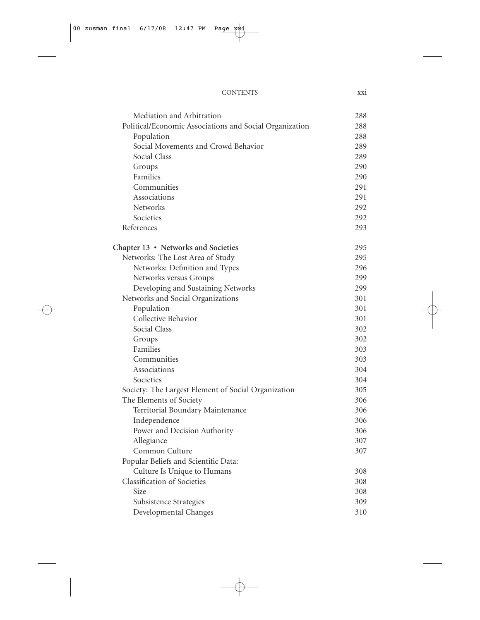#### CONTENTS xxi

| Mediation and Arbitration                               | 288 |
|---------------------------------------------------------|-----|
| Political/Economic Associations and Social Organization | 288 |
| Population                                              | 288 |
| Social Movements and Crowd Behavior                     | 289 |
| Social Class                                            | 289 |
| Groups                                                  | 290 |
| Families                                                | 290 |
| Communities                                             | 291 |
| Associations                                            | 291 |
| <b>Networks</b>                                         | 292 |
| Societies                                               | 292 |
| References                                              | 293 |
| Chapter 13 · Networks and Societies                     | 295 |
| Networks: The Lost Area of Study                        | 295 |
| Networks: Definition and Types                          | 296 |
| Networks versus Groups                                  | 299 |
| Developing and Sustaining Networks                      | 299 |
| Networks and Social Organizations                       | 301 |
| Population                                              | 301 |
| Collective Behavior                                     | 301 |
| Social Class                                            | 302 |
| Groups                                                  | 302 |
| Families                                                | 303 |
| Communities                                             | 303 |
| Associations                                            | 304 |
| Societies                                               | 304 |
| Society: The Largest Element of Social Organization     | 305 |
| The Elements of Society                                 | 306 |
| Territorial Boundary Maintenance                        | 306 |
| Independence                                            | 306 |
| Power and Decision Authority                            | 306 |
| Allegiance                                              | 307 |
| Common Culture                                          | 307 |
| Popular Beliefs and Scientific Data:                    |     |
| Culture Is Unique to Humans                             | 308 |
| <b>Classification of Societies</b>                      | 308 |
| Size                                                    | 308 |
| Subsistence Strategies                                  | 309 |
| Developmental Changes                                   | 310 |